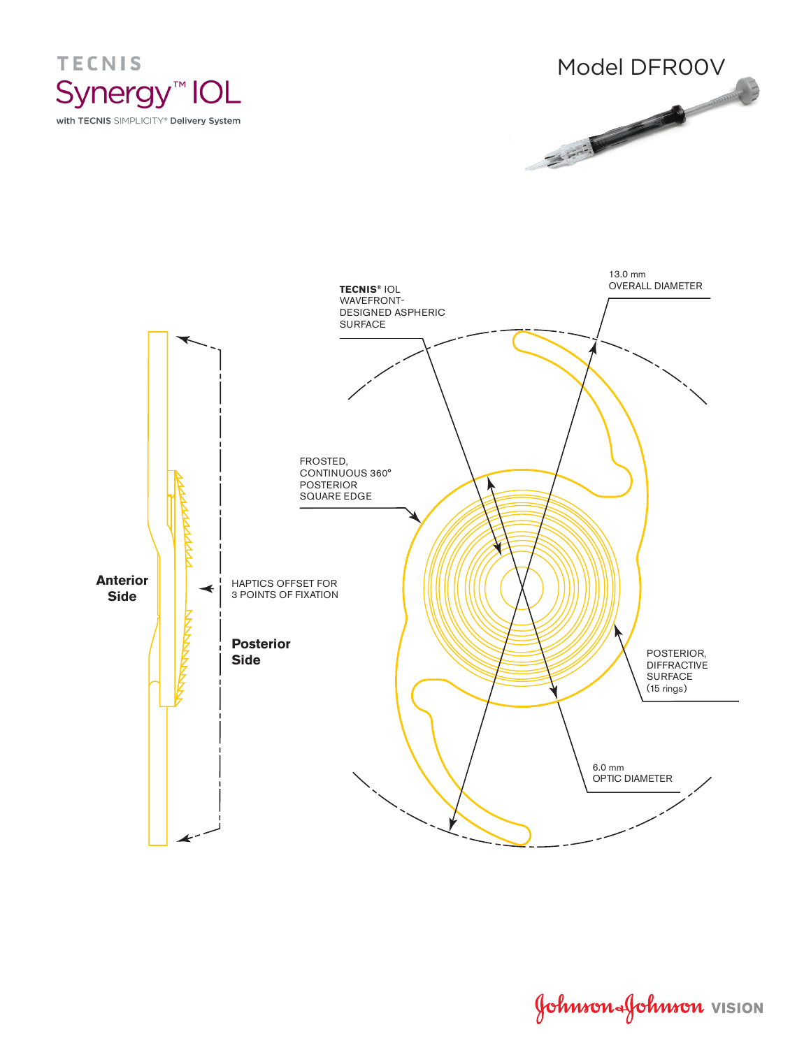





Johnson Johnson VISION